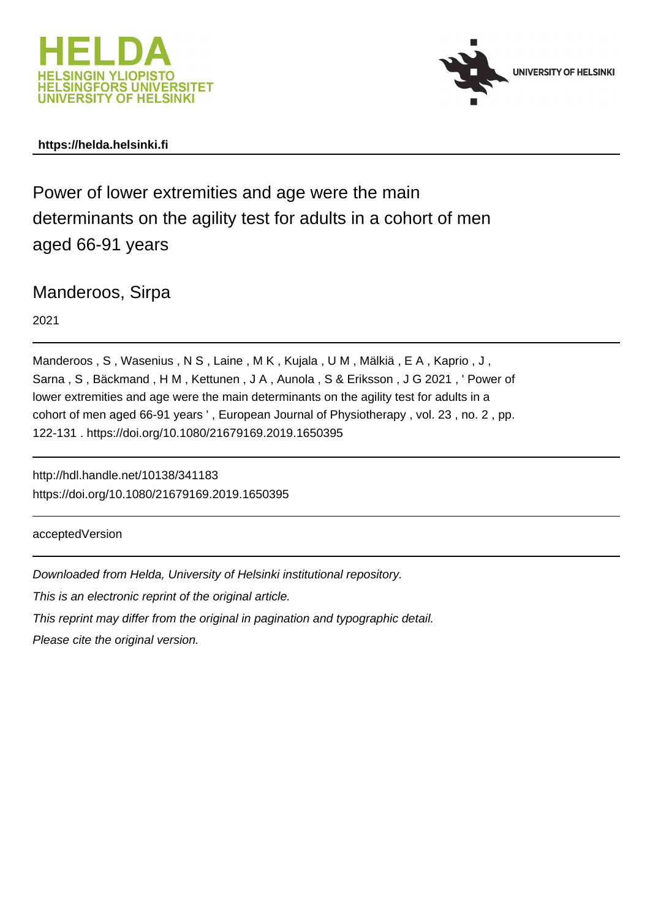



# **https://helda.helsinki.fi**

Power of lower extremities and age were the main determinants on the agility test for adults in a cohort of men aged 66-91 years

Manderoos, Sirpa

2021

Manderoos , S , Wasenius , N S , Laine , M K , Kujala , U M , Mälkiä , E A , Kaprio , J , Sarna , S , Bäckmand , H M , Kettunen , J A , Aunola , S & Eriksson , J G 2021 , ' Power of lower extremities and age were the main determinants on the agility test for adults in a cohort of men aged 66-91 years ', European Journal of Physiotherapy, vol. 23, no. 2, pp. 122-131 . https://doi.org/10.1080/21679169.2019.1650395

http://hdl.handle.net/10138/341183 https://doi.org/10.1080/21679169.2019.1650395

acceptedVersion

Downloaded from Helda, University of Helsinki institutional repository.

This is an electronic reprint of the original article.

This reprint may differ from the original in pagination and typographic detail.

Please cite the original version.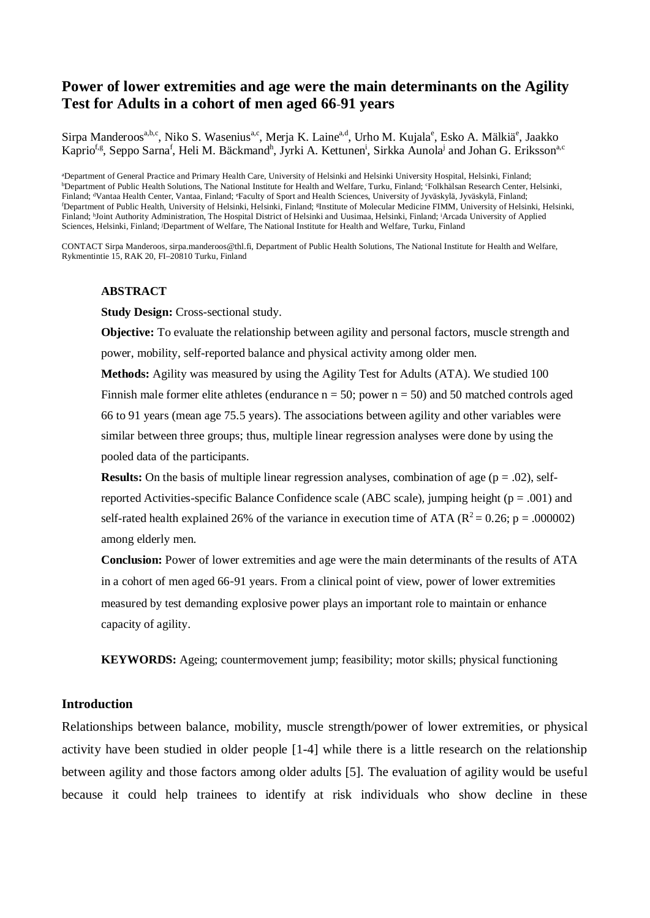# **Power of lower extremities and age were the main determinants on the Agility Test for Adults in a cohort of men aged 66**-**91 years**

Sirpa Manderoos<sup>a,b,c</sup>, Niko S. Wasenius<sup>a,c</sup>, Merja K. Laine<sup>a,d</sup>, Urho M. Kujala<sup>e</sup>, Esko A. Mälkiä<sup>e</sup>, Jaakko Kaprio<sup>f,g</sup>, Seppo Sarna<sup>f</sup>, Heli M. Bäckmand<sup>h</sup>, Jyrki A. Kettunen<sup>i</sup>, Sirkka Aunola<sup>j</sup> and Johan G. Eriksson<sup>a,c</sup>

<sup>a</sup>Department of General Practice and Primary Health Care, University of Helsinki and Helsinki University Hospital, Helsinki, Finland; <sup>b</sup>Department of Public Health Solutions, The National Institute for Health and Welfare, Turku, Finland; <sup>c</sup>Folkhälsan Research Center, Helsinki, Finland; <sup>d</sup>Vantaa Health Center, Vantaa, Finland; <sup>e</sup>Faculty of Sport and Health Sciences, University of Jyväskylä, Jyväskylä, Finland; <sup>f</sup>Department of Public Health, University of Helsinki, Helsinki, Finland; <sup>g</sup>Institute of Molecular Medicine FIMM, University of Helsinki, Helsinki, Finland; <sup>h</sup>Joint Authority Administration, The Hospital District of Helsinki and Uusimaa, Helsinki, Finland; <sup>i</sup>Arcada University of Applied Sciences, Helsinki, Finland; <sup>j</sup>Department of Welfare, The National Institute for Health and Welfare, Turku, Finland

CONTACT Sirpa Manderoos, sirpa.manderoos@thl.fi, Department of Public Health Solutions, The National Institute for Health and Welfare, Rykmentintie 15, RAK 20, FI–20810 Turku, Finland

#### **ABSTRACT**

**Study Design:** Cross-sectional study.

**Objective:** To evaluate the relationship between agility and personal factors, muscle strength and power, mobility, self-reported balance and physical activity among older men.

**Methods:** Agility was measured by using the Agility Test for Adults (ATA). We studied 100 Finnish male former elite athletes (endurance  $n = 50$ ; power  $n = 50$ ) and 50 matched controls aged 66 to 91 years (mean age 75.5 years). The associations between agility and other variables were similar between three groups; thus, multiple linear regression analyses were done by using the pooled data of the participants.

**Results:** On the basis of multiple linear regression analyses, combination of age  $(p = .02)$ , selfreported Activities-specific Balance Confidence scale (ABC scale), jumping height ( $p = .001$ ) and self-rated health explained 26% of the variance in execution time of ATA ( $\mathbb{R}^2 = 0.26$ ; p = .000002) among elderly men.

**Conclusion:** Power of lower extremities and age were the main determinants of the results of ATA in a cohort of men aged 66*-*91 years. From a clinical point of view, power of lower extremities measured by test demanding explosive power plays an important role to maintain or enhance capacity of agility.

**KEYWORDS:** Ageing; countermovement jump; feasibility; motor skills; physical functioning

### **Introduction**

Relationships between balance, mobility, muscle strength/power of lower extremities, or physical activity have been studied in older people [1-4] while there is a little research on the relationship between agility and those factors among older adults [5]. The evaluation of agility would be useful because it could help trainees to identify at risk individuals who show decline in these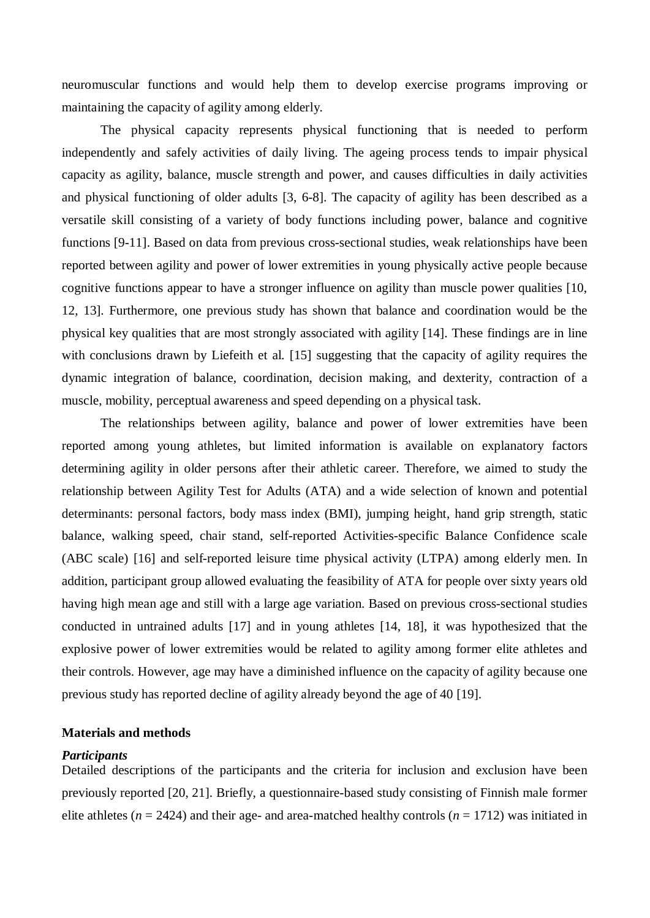neuromuscular functions and would help them to develop exercise programs improving or maintaining the capacity of agility among elderly.

The physical capacity represents physical functioning that is needed to perform independently and safely activities of daily living. The ageing process tends to impair physical capacity as agility, balance, muscle strength and power, and causes difficulties in daily activities and physical functioning of older adults [3, 6-8]. The capacity of agility has been described as a versatile skill consisting of a variety of body functions including power, balance and cognitive functions [9-11]. Based on data from previous cross-sectional studies, weak relationships have been reported between agility and power of lower extremities in young physically active people because cognitive functions appear to have a stronger influence on agility than muscle power qualities [10, 12, 13]. Furthermore, one previous study has shown that balance and coordination would be the physical key qualities that are most strongly associated with agility [14]. These findings are in line with conclusions drawn by Liefeith et al. [15] suggesting that the capacity of agility requires the dynamic integration of balance, coordination, decision making, and dexterity, contraction of a muscle, mobility, perceptual awareness and speed depending on a physical task.

The relationships between agility, balance and power of lower extremities have been reported among young athletes, but limited information is available on explanatory factors determining agility in older persons after their athletic career. Therefore, we aimed to study the relationship between Agility Test for Adults (ATA) and a wide selection of known and potential determinants: personal factors, body mass index (BMI), jumping height, hand grip strength, static balance, walking speed, chair stand, self-reported Activities-specific Balance Confidence scale (ABC scale) [16] and self-reported leisure time physical activity (LTPA) among elderly men. In addition, participant group allowed evaluating the feasibility of ATA for people over sixty years old having high mean age and still with a large age variation. Based on previous cross-sectional studies conducted in untrained adults [17] and in young athletes [14, 18], it was hypothesized that the explosive power of lower extremities would be related to agility among former elite athletes and their controls. However, age may have a diminished influence on the capacity of agility because one previous study has reported decline of agility already beyond the age of 40 [19].

# **Materials and methods**

#### *Participants*

Detailed descriptions of the participants and the criteria for inclusion and exclusion have been previously reported [20, 21]. Briefly, a questionnaire-based study consisting of Finnish male former elite athletes ( $n = 2424$ ) and their age- and area-matched healthy controls ( $n = 1712$ ) was initiated in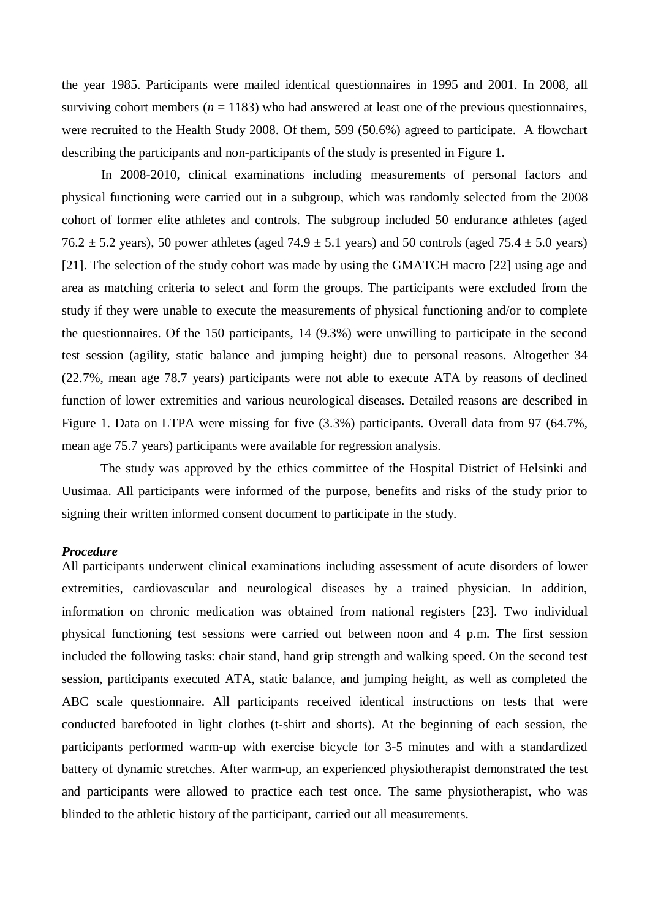the year 1985. Participants were mailed identical questionnaires in 1995 and 2001. In 2008, all surviving cohort members ( $n = 1183$ ) who had answered at least one of the previous questionnaires, were recruited to the Health Study 2008. Of them, 599 (50.6%) agreed to participate. A flowchart describing the participants and non-participants of the study is presented in Figure 1.

In 2008*-*2010, clinical examinations including measurements of personal factors and physical functioning were carried out in a subgroup, which was randomly selected from the 2008 cohort of former elite athletes and controls. The subgroup included 50 endurance athletes (aged 76.2  $\pm$  5.2 years), 50 power athletes (aged 74.9  $\pm$  5.1 years) and 50 controls (aged 75.4  $\pm$  5.0 years) [21]. The selection of the study cohort was made by using the GMATCH macro [22] using age and area as matching criteria to select and form the groups. The participants were excluded from the study if they were unable to execute the measurements of physical functioning and/or to complete the questionnaires. Of the 150 participants, 14 (9.3%) were unwilling to participate in the second test session (agility, static balance and jumping height) due to personal reasons. Altogether 34 (22.7%, mean age 78.7 years) participants were not able to execute ATA by reasons of declined function of lower extremities and various neurological diseases. Detailed reasons are described in Figure 1. Data on LTPA were missing for five (3.3%) participants. Overall data from 97 (64.7%, mean age 75.7 years) participants were available for regression analysis.

The study was approved by the ethics committee of the Hospital District of Helsinki and Uusimaa. All participants were informed of the purpose, benefits and risks of the study prior to signing their written informed consent document to participate in the study.

#### *Procedure*

All participants underwent clinical examinations including assessment of acute disorders of lower extremities, cardiovascular and neurological diseases by a trained physician. In addition, information on chronic medication was obtained from national registers [23]. Two individual physical functioning test sessions were carried out between noon and 4 p.m. The first session included the following tasks: chair stand, hand grip strength and walking speed. On the second test session, participants executed ATA, static balance, and jumping height, as well as completed the ABC scale questionnaire. All participants received identical instructions on tests that were conducted barefooted in light clothes (t-shirt and shorts). At the beginning of each session, the participants performed warm-up with exercise bicycle for 3*-*5 minutes and with a standardized battery of dynamic stretches. After warm-up, an experienced physiotherapist demonstrated the test and participants were allowed to practice each test once. The same physiotherapist, who was blinded to the athletic history of the participant, carried out all measurements.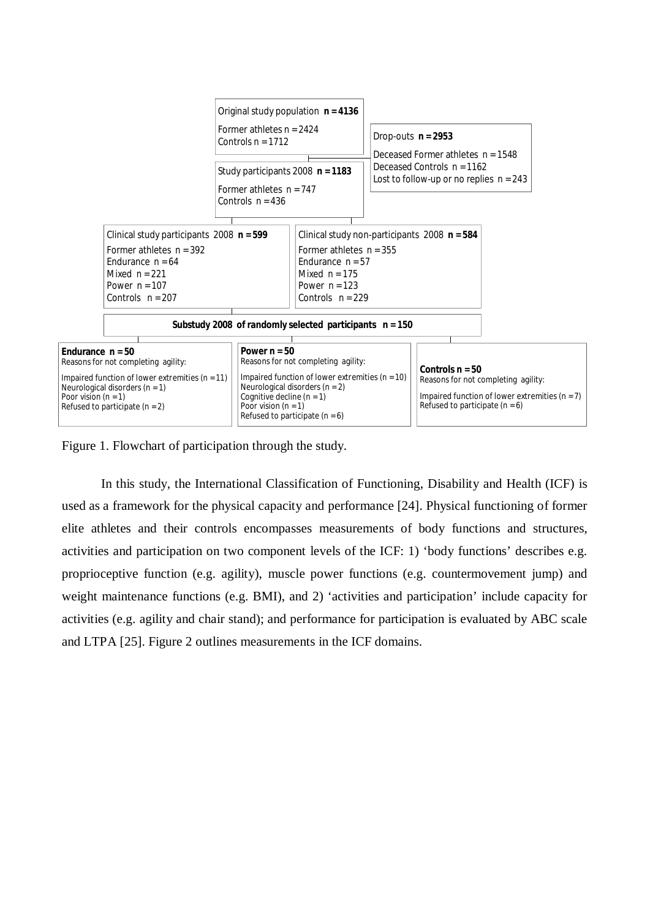

Figure 1. Flowchart of participation through the study.

 In this study, the International Classification of Functioning, Disability and Health (ICF) is used as a framework for the physical capacity and performance [24]. Physical functioning of former elite athletes and their controls encompasses measurements of body functions and structures, activities and participation on two component levels of the ICF: 1) 'body functions' describes e.g. proprioceptive function (e.g. agility), muscle power functions (e.g. countermovement jump) and weight maintenance functions (e.g. BMI), and 2) 'activities and participation' include capacity for activities (e.g. agility and chair stand); and performance for participation is evaluated by ABC scale and LTPA [25]. Figure 2 outlines measurements in the ICF domains.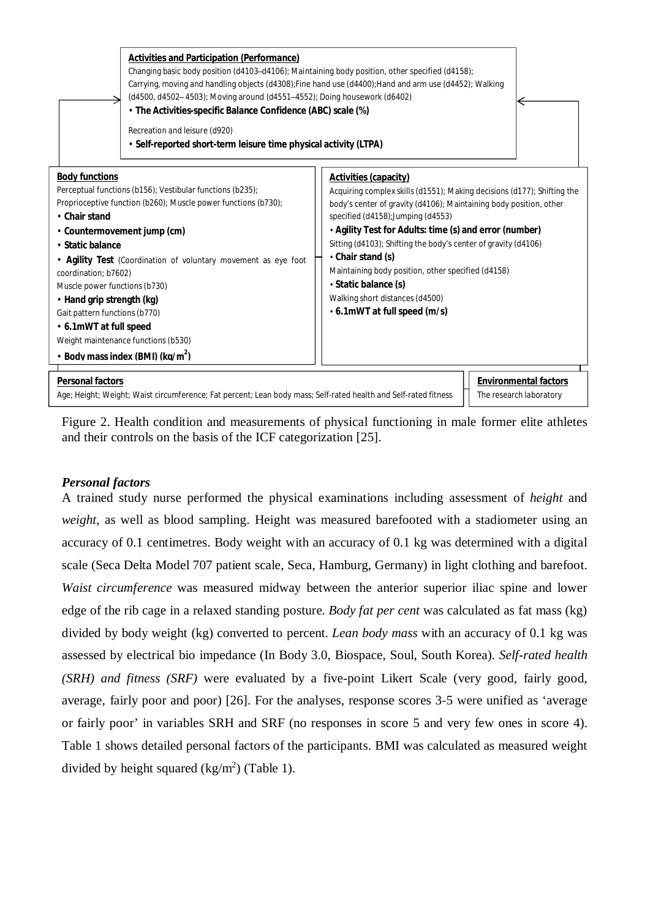

Figure 2. Health condition and measurements of physical functioning in male former elite athletes and their controls on the basis of the ICF categorization [25].

# *Personal factors*

A trained study nurse performed the physical examinations including assessment of *height* and *weight*, as well as blood sampling. Height was measured barefooted with a stadiometer using an accuracy of 0.1 centimetres. Body weight with an accuracy of 0.1 kg was determined with a digital scale (Seca Delta Model 707 patient scale, Seca, Hamburg, Germany) in light clothing and barefoot. *Waist circumference* was measured midway between the anterior superior iliac spine and lower edge of the rib cage in a relaxed standing posture. *Body fat per cent* was calculated as fat mass (kg) divided by body weight (kg) converted to percent. *Lean body mass* with an accuracy of 0.1 kg was assessed by electrical bio impedance (In Body 3.0, Biospace, Soul, South Korea). *Self-rated health (SRH) and fitness (SRF)* were evaluated by a five-point Likert Scale (very good, fairly good, average, fairly poor and poor) [26]. For the analyses, response scores 3*-*5 were unified as 'average or fairly poor' in variables SRH and SRF (no responses in score 5 and very few ones in score 4). Table 1 shows detailed personal factors of the participants. BMI was calculated as measured weight divided by height squared  $(kg/m^2)$  (Table 1).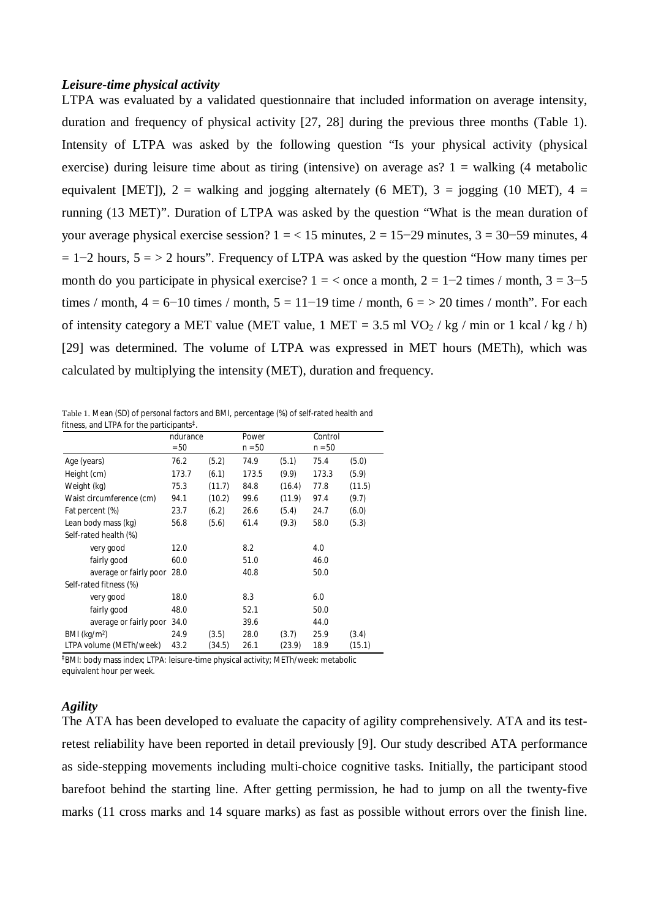### *Leisure-time physical activity*

LTPA was evaluated by a validated questionnaire that included information on average intensity, duration and frequency of physical activity [27, 28] during the previous three months (Table 1). Intensity of LTPA was asked by the following question "Is your physical activity (physical exercise) during leisure time about as tiring (intensive) on average as?  $1 =$  walking (4 metabolic equivalent [MET]), 2 = walking and jogging alternately (6 MET), 3 = jogging (10 MET), 4 = running (13 MET)". Duration of LTPA was asked by the question "What is the mean duration of your average physical exercise session?  $1 = 15$  minutes,  $2 = 15-29$  minutes,  $3 = 30-59$  minutes, 4  $= 1-2$  hours,  $5 = \frac{1}{2}$  hours". Frequency of LTPA was asked by the question "How many times per month do you participate in physical exercise?  $1 =$  < once a month,  $2 = 1-2$  times / month,  $3 = 3-5$ times / month,  $4 = 6 - 10$  times / month,  $5 = 11 - 19$  time / month,  $6 = 20$  times / month". For each of intensity category a MET value (MET value, 1 MET = 3.5 ml VO<sub>2</sub> / kg / min or 1 kcal / kg / h) [29] was determined. The volume of LTPA was expressed in MET hours (METh), which was calculated by multiplying the intensity (MET), duration and frequency.

Table 1. Mean (SD) of personal factors and BMI, percentage (%) of self-rated health and fitness, and LTPA for the participants‡ .

|                          | ndurance |        | Power    |        | Control  |        |
|--------------------------|----------|--------|----------|--------|----------|--------|
|                          | $= 50$   |        | $n = 50$ |        | $n = 50$ |        |
| Age (years)              | 76.2     | (5.2)  | 74.9     | (5.1)  | 75.4     | (5.0)  |
| Height (cm)              | 173.7    | (6.1)  | 173.5    | (9.9)  | 173.3    | (5.9)  |
| Weight (kg)              | 75.3     | (11.7) | 84.8     | (16.4) | 77.8     | (11.5) |
| Waist circumference (cm) | 94.1     | (10.2) | 99.6     | (11.9) | 97.4     | (9.7)  |
| Fat percent (%)          | 23.7     | (6.2)  | 26.6     | (5.4)  | 24.7     | (6.0)  |
| Lean body mass (kg)      | 56.8     | (5.6)  | 61.4     | (9.3)  | 58.0     | (5.3)  |
| Self-rated health (%)    |          |        |          |        |          |        |
| very good                | 12.0     |        | 8.2      |        | 4.0      |        |
| fairly good              | 60.0     |        | 51.0     |        | 46.0     |        |
| average or fairly poor   | 28.0     |        | 40.8     |        | 50.0     |        |
| Self-rated fitness (%)   |          |        |          |        |          |        |
| very good                | 18.0     |        | 8.3      |        | 6.0      |        |
| fairly good              | 48.0     |        | 52.1     |        | 50.0     |        |
| average or fairly poor   | 34.0     |        | 39.6     |        | 44.0     |        |
| BMI ( $kg/m2$ )          | 24.9     | (3.5)  | 28.0     | (3.7)  | 25.9     | (3.4)  |
| LTPA volume (METh/week)  | 43.2     | (34.5) | 26.1     | (23.9) | 18.9     | (15.1) |

‡BMI: body mass index; LTPA: leisure-time physical activity; METh/week: metabolic equivalent hour per week.

# *Agility*

The ATA has been developed to evaluate the capacity of agility comprehensively. ATA and its testretest reliability have been reported in detail previously [9]. Our study described ATA performance as side-stepping movements including multi-choice cognitive tasks. Initially, the participant stood barefoot behind the starting line. After getting permission, he had to jump on all the twenty-five marks (11 cross marks and 14 square marks) as fast as possible without errors over the finish line.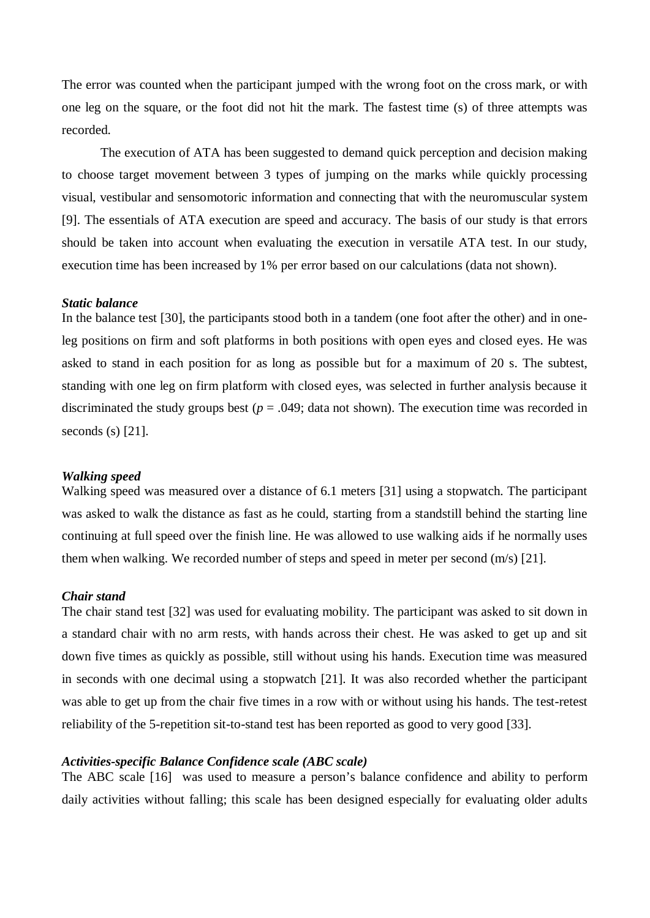The error was counted when the participant jumped with the wrong foot on the cross mark, or with one leg on the square, or the foot did not hit the mark. The fastest time (s) of three attempts was recorded.

The execution of ATA has been suggested to demand quick perception and decision making to choose target movement between 3 types of jumping on the marks while quickly processing visual, vestibular and sensomotoric information and connecting that with the neuromuscular system [9]. The essentials of ATA execution are speed and accuracy. The basis of our study is that errors should be taken into account when evaluating the execution in versatile ATA test. In our study, execution time has been increased by 1% per error based on our calculations (data not shown).

#### *Static balance*

In the balance test [30], the participants stood both in a tandem (one foot after the other) and in oneleg positions on firm and soft platforms in both positions with open eyes and closed eyes. He was asked to stand in each position for as long as possible but for a maximum of 20 s. The subtest, standing with one leg on firm platform with closed eyes, was selected in further analysis because it discriminated the study groups best  $(p = .049)$ ; data not shown). The execution time was recorded in seconds  $(s)$  [21].

#### *Walking speed*

Walking speed was measured over a distance of 6.1 meters [31] using a stopwatch. The participant was asked to walk the distance as fast as he could, starting from a standstill behind the starting line continuing at full speed over the finish line. He was allowed to use walking aids if he normally uses them when walking. We recorded number of steps and speed in meter per second (m/s) [21].

#### *Chair stand*

The chair stand test [32] was used for evaluating mobility. The participant was asked to sit down in a standard chair with no arm rests, with hands across their chest. He was asked to get up and sit down five times as quickly as possible, still without using his hands. Execution time was measured in seconds with one decimal using a stopwatch [21]. It was also recorded whether the participant was able to get up from the chair five times in a row with or without using his hands. The test-retest reliability of the 5-repetition sit-to-stand test has been reported as good to very good [33].

#### *Activities-specific Balance Confidence scale (ABC scale)*

The ABC scale [16] was used to measure a person's balance confidence and ability to perform daily activities without falling; this scale has been designed especially for evaluating older adults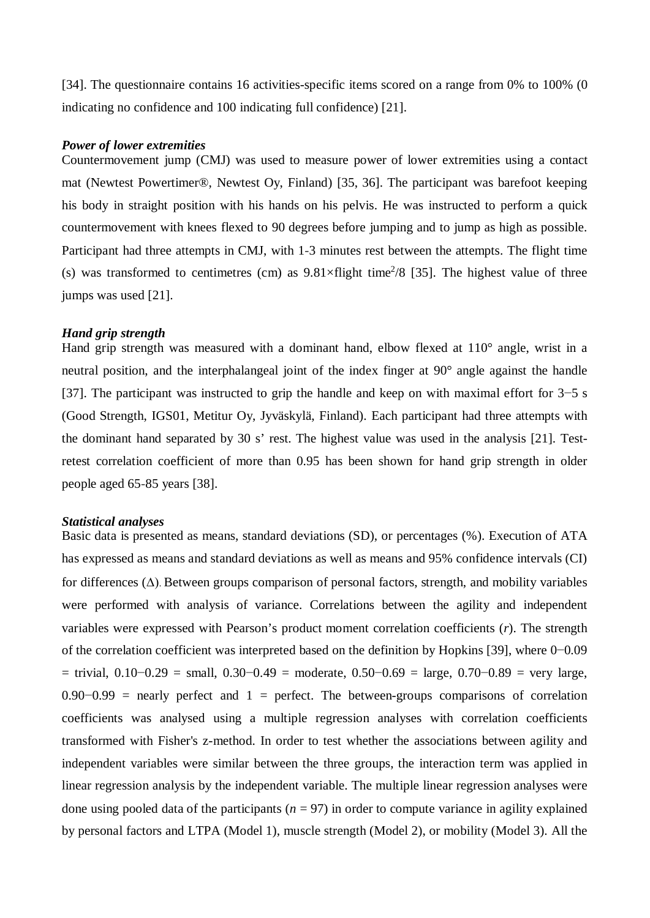[34]. The questionnaire contains 16 activities-specific items scored on a range from 0% to 100% (0 indicating no confidence and 100 indicating full confidence) [21].

#### *Power of lower extremities*

Countermovement jump (CMJ) was used to measure power of lower extremities using a contact mat (Newtest Powertimer®, Newtest Oy, Finland) [35, 36]. The participant was barefoot keeping his body in straight position with his hands on his pelvis. He was instructed to perform a quick countermovement with knees flexed to 90 degrees before jumping and to jump as high as possible. Participant had three attempts in CMJ, with 1*-*3 minutes rest between the attempts. The flight time (s) was transformed to centimetres (cm) as  $9.81 \times$  flight time<sup>2</sup>/8 [35]. The highest value of three jumps was used [21].

### *Hand grip strength*

Hand grip strength was measured with a dominant hand, elbow flexed at 110° angle, wrist in a neutral position, and the interphalangeal joint of the index finger at 90° angle against the handle [37]. The participant was instructed to grip the handle and keep on with maximal effort for 3−5 s (Good Strength, IGS01, Metitur Oy, Jyväskylä, Finland). Each participant had three attempts with the dominant hand separated by 30 s' rest. The highest value was used in the analysis [21]. Testretest correlation coefficient of more than 0.95 has been shown for hand grip strength in older people aged 65*-*85 years [38].

### *Statistical analyses*

Basic data is presented as means, standard deviations (SD), or percentages (%). Execution of ATA has expressed as means and standard deviations as well as means and 95% confidence intervals (CI) for differences  $(\Delta)$ . Between groups comparison of personal factors, strength, and mobility variables were performed with analysis of variance. Correlations between the agility and independent variables were expressed with Pearson's product moment correlation coefficients (*r*). The strength of the correlation coefficient was interpreted based on the definition by Hopkins [39], where 0−0.09 = trivial, 0.10−0.29 = small, 0.30−0.49 = moderate, 0.50−0.69 = large, 0.70−0.89 = very large, 0.90−0.99 = nearly perfect and 1 = perfect. The between-groups comparisons of correlation coefficients was analysed using a multiple regression analyses with correlation coefficients transformed with Fisher's z-method. In order to test whether the associations between agility and independent variables were similar between the three groups, the interaction term was applied in linear regression analysis by the independent variable. The multiple linear regression analyses were done using pooled data of the participants  $(n = 97)$  in order to compute variance in agility explained by personal factors and LTPA (Model 1), muscle strength (Model 2), or mobility (Model 3). All the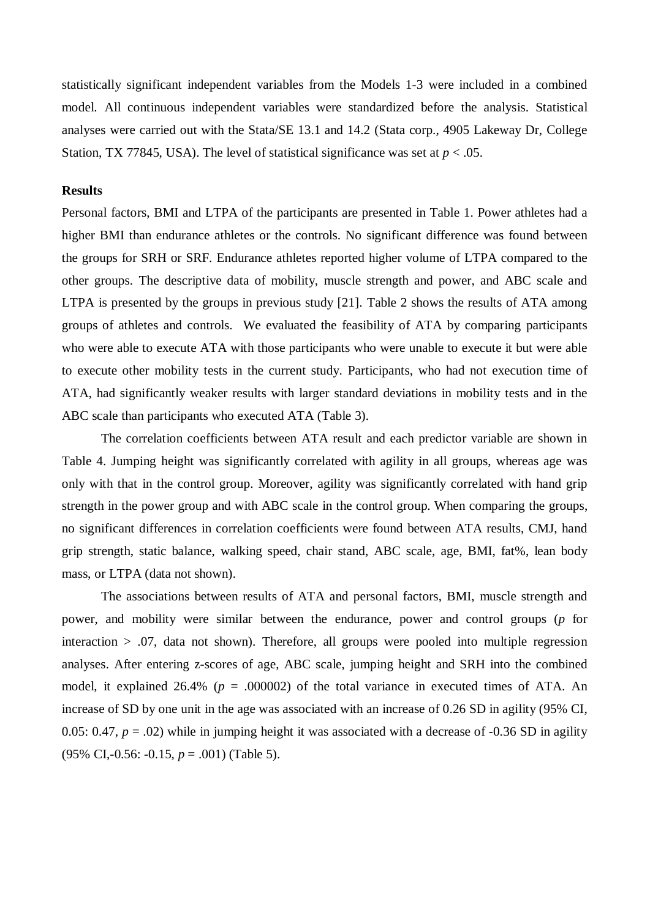statistically significant independent variables from the Models 1*-*3 were included in a combined model. All continuous independent variables were standardized before the analysis. Statistical analyses were carried out with the Stata/SE 13.1 and 14.2 (Stata corp., 4905 Lakeway Dr, College Station, TX 77845, USA). The level of statistical significance was set at  $p < .05$ .

# **Results**

Personal factors, BMI and LTPA of the participants are presented in Table 1. Power athletes had a higher BMI than endurance athletes or the controls. No significant difference was found between the groups for SRH or SRF. Endurance athletes reported higher volume of LTPA compared to the other groups. The descriptive data of mobility, muscle strength and power, and ABC scale and LTPA is presented by the groups in previous study [21]. Table 2 shows the results of ATA among groups of athletes and controls. We evaluated the feasibility of ATA by comparing participants who were able to execute ATA with those participants who were unable to execute it but were able to execute other mobility tests in the current study. Participants, who had not execution time of ATA, had significantly weaker results with larger standard deviations in mobility tests and in the ABC scale than participants who executed ATA (Table 3).

The correlation coefficients between ATA result and each predictor variable are shown in Table 4. Jumping height was significantly correlated with agility in all groups, whereas age was only with that in the control group. Moreover, agility was significantly correlated with hand grip strength in the power group and with ABC scale in the control group. When comparing the groups, no significant differences in correlation coefficients were found between ATA results, CMJ, hand grip strength, static balance, walking speed, chair stand, ABC scale, age, BMI, fat%, lean body mass, or LTPA (data not shown).

The associations between results of ATA and personal factors, BMI, muscle strength and power, and mobility were similar between the endurance, power and control groups (*p* for interaction  $> .07$ , data not shown). Therefore, all groups were pooled into multiple regression analyses. After entering z-scores of age, ABC scale, jumping height and SRH into the combined model, it explained 26.4% ( $p = .000002$ ) of the total variance in executed times of ATA. An increase of SD by one unit in the age was associated with an increase of 0.26 SD in agility (95% CI, 0.05: 0.47,  $p = .02$ ) while in jumping height it was associated with a decrease of  $-0.36$  SD in agility (95% CI,-0.56: -0.15, *p* = .001) (Table 5).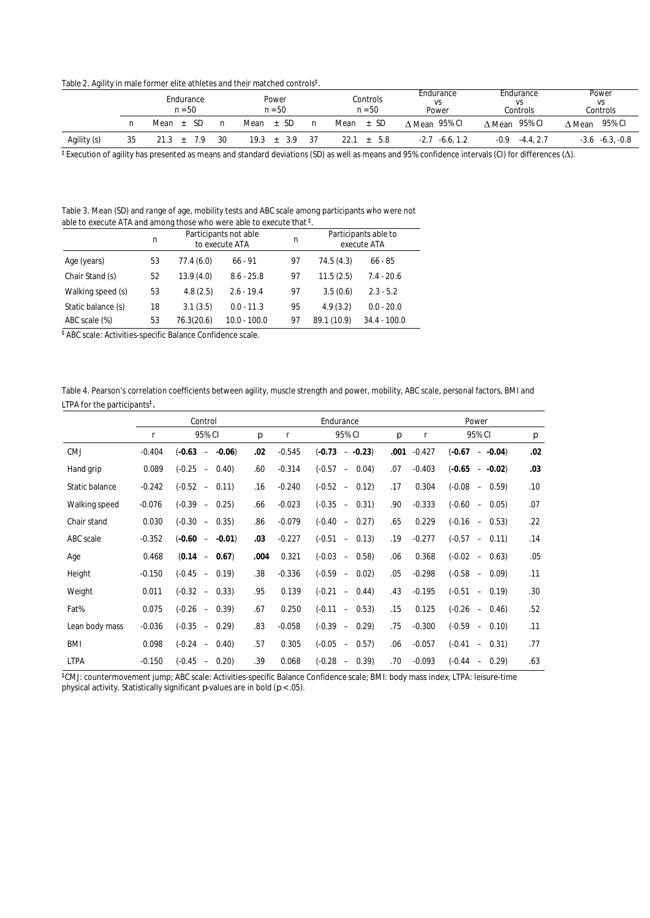Table 2. Agility in male former elite athletes and their matched controls‡ .

|             |    | Endurance   |    | Power             |    | Controls         | Endurance<br>VS      | Endurance<br>VS          | Power<br>VS      |
|-------------|----|-------------|----|-------------------|----|------------------|----------------------|--------------------------|------------------|
|             |    | $n = 50$    |    | $n = 50$          |    | $n = 50$         | Power                | Controls                 | Controls         |
|             |    | -SD<br>Mean |    | $\pm$ SD<br>Mean  | n, | $\pm$ SD<br>Mean | A Mean 95% CI        | 95% CI<br>$\Lambda$ Mean | 95% CI<br>A Mean |
| Agility (s) | 35 | 79          | 30 | $\pm$ 3.9<br>19.3 | 37 | 5.8              | $-6.6.1.2$<br>$-2.7$ | $-4.4.2.7$<br>$-0.9$     | $-3.6 -6.3 -0.8$ |

 $\frac{1}{4}$  Execution of agility has presented as means and standard deviations (SD) as well as means and 95% confidence intervals (CI) for differences ( $\Delta$ ).

Table 3. Mean (SD) and range of age, mobility tests and ABC scale among participants who were not able to execute ATA and among those who were able to execute that  $<sup>‡</sup>$ .</sup>  $\overline{\phantom{0}}$ 

|                    | n  | Participants not able<br>to execute ATA |                | n  | Participants able to<br>execute ATA |                |  |
|--------------------|----|-----------------------------------------|----------------|----|-------------------------------------|----------------|--|
| Age (years)        | 53 | 77.4 (6.0)                              | $66 - 91$      | 97 | 74.5(4.3)                           | $66 - 85$      |  |
| Chair Stand (s)    | 52 | 13.9(4.0)                               | $8.6 - 25.8$   | 97 | 11.5(2.5)                           | $7.4 - 20.6$   |  |
| Walking speed (s)  | 53 | 4.8(2.5)                                | $2.6 - 19.4$   | 97 | 3.5(0.6)                            | $2.3 - 5.2$    |  |
| Static balance (s) | 18 | 3.1(3.5)                                | $0.0 - 11.3$   | 95 | 4.9(3.2)                            | $0.0 - 20.0$   |  |
| ABC scale (%)      | 53 | 76.3(20.6)                              | $10.0 - 100.0$ | 97 | 89.1 (10.9)                         | $34.4 - 100.0$ |  |

‡ABC scale: Activities-specific Balance Confidence scale.

Table 4. Pearson's correlation coefficients between agility, muscle strength and power, mobility, ABC scale, personal factors, BMI and LTPA for the participants<sup>‡</sup>.

|                |              | Control                                      |      | Endurance    |                                                | Power |          |                                                |     |
|----------------|--------------|----------------------------------------------|------|--------------|------------------------------------------------|-------|----------|------------------------------------------------|-----|
|                | $\mathsf{r}$ | 95% CI                                       | p    | $\mathsf{r}$ | 95% CI                                         | р     | r        | 95% CI                                         | р   |
| <b>CMJ</b>     | $-0.404$     | $(-0.63 - 0.06)$                             | .02  | $-0.545$     | $(-0.73 - 0.23)$                               | .001  | $-0.427$ | $(-0.67)$<br>$- -0.04$                         | .02 |
| Hand grip      | 0.089        | (-0.25<br>(0.40)<br>$\overline{\phantom{a}}$ | .60  | $-0.314$     | $(-0.57)$<br>0.04)<br>$\sim$                   | .07   | $-0.403$ | (-0.65<br>$- -0.02$                            | .03 |
| Static balance | $-0.242$     | $(-0.52 - 0.11)$                             | .16  | $-0.240$     | $(-0.52 -$<br>0.12)                            | .17   | 0.304    | $(-0.08)$<br>0.59)<br>$\overline{\phantom{a}}$ | .10 |
| Walking speed  | $-0.076$     | $(-0.39)$<br>0.25)<br>$\sim$                 | .66  | $-0.023$     | $(-0.35)$<br>0.31)<br>$\sim$                   | .90   | $-0.333$ | $(-0.60)$<br>0.05)<br>$\overline{\phantom{a}}$ | .07 |
| Chair stand    | 0.030        | $(-0.30 - 0.35)$                             | .86  | $-0.079$     | $(-0.40 -$<br>0.27)                            | .65   | 0.229    | $(-0.16)$<br>0.53)<br>$\sim$                   | .22 |
| ABC scale      | $-0.352$     | $(-0.60)$<br>$-$ -0.01)                      | .03  | $-0.227$     | $(-0.51 -$<br>0.13)                            | .19   | $-0.277$ | $(-0.57)$<br>0.11)<br>$\overline{\phantom{a}}$ | .14 |
| Age            | 0.468        | $(0.14 - 0.67)$                              | .004 | 0.321        | $(-0.03 -$<br>0.58)                            | .06   | 0.368    | $(-0.02)$<br>0.63)<br>$\overline{\phantom{a}}$ | .05 |
| Height         | $-0.150$     | $(-0.45)$<br>$-0.19$                         | .38  | $-0.336$     | $(-0.59 -$<br>0.02)                            | .05   | $-0.298$ | $(-0.58)$<br>0.09<br>$\overline{\phantom{a}}$  | .11 |
| Weight         | 0.011        | $(-0.32 - 0.33)$                             | .95  | 0.139        | $(-0.21)$<br>(0.44)<br>$\sim$                  | .43   | $-0.195$ | $(-0.51)$<br>0.19<br>$\overline{\phantom{a}}$  | .30 |
| Fat%           | 0.075        | $(-0.26)$<br>(0.39)<br>$\sim$                | .67  | 0.250        | $(-0.11)$<br>(0.53)<br>$ \,$                   | .15   | 0.125    | $(-0.26)$<br>0.46)<br>$\overline{\phantom{a}}$ | .52 |
| Lean body mass | $-0.036$     | $(-0.35 - 0.29)$                             | .83  | $-0.058$     | $(-0.39 -$<br>0.29)                            | .75   | $-0.300$ | (-0.59<br>0.10)<br>$\equiv$                    | .11 |
| BMI            | 0.098        | $(-0.24 -$<br>0.40)                          | .57  | 0.305        | $(-0.05)$<br>0.57)<br>$\overline{\phantom{a}}$ | .06   | $-0.057$ | $(-0.41)$<br>0.31)<br>$\overline{\phantom{a}}$ | .77 |
| LTPA           | $-0.150$     | $(-0.45)$<br>0.20)<br>$\sim$                 | .39  | 0.068        | $(-0.28 -$<br>0.39)                            | .70   | $-0.093$ | (-0.44<br>0.29<br>$\equiv$                     | .63 |

‡CMJ: countermovement jump; ABC scale: Activities-specific Balance Confidence scale; BMI: body mass index; LTPA: leisure-time physical activity. Statistically significant *p*-values are in bold (*p* < .05).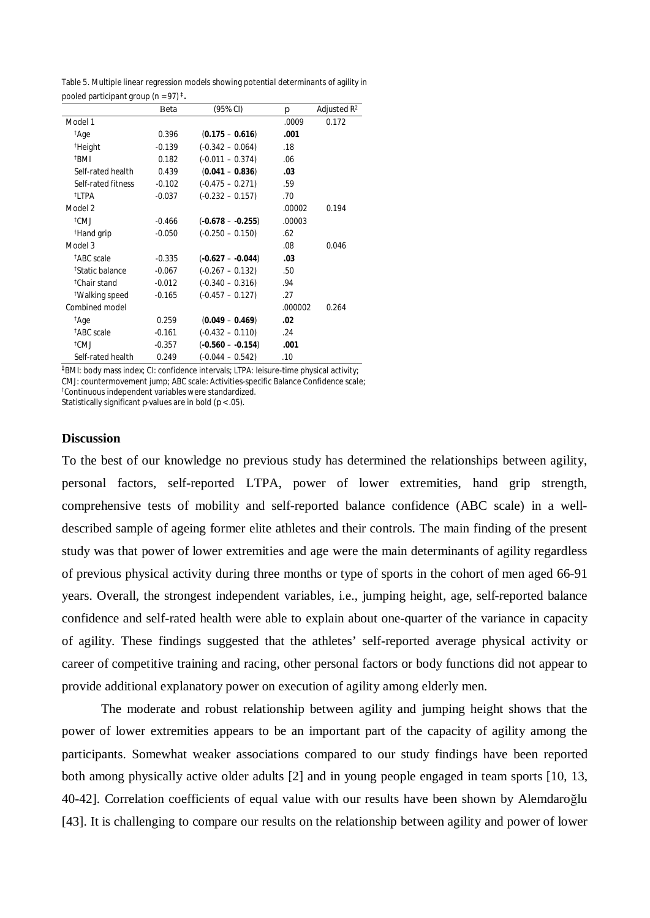Table 5. Multiple linear regression models showing potential determinants of agility in pooled participant group (n = 97)<sup> $\ddagger$ </sup>.

|                             | Beta     | (95% CI)            | р       | Adjusted $R^2$ |
|-----------------------------|----------|---------------------|---------|----------------|
| Model 1                     |          |                     | .0009   | 0.172          |
| <sup>†</sup> Age            | 0.396    | $(0.175 - 0.616)$   | .001    |                |
| <sup>†</sup> Height         | $-0.139$ | $(-0.342 - 0.064)$  | .18     |                |
| <sup>†</sup> BMI            | 0.182    | $(-0.011 - 0.374)$  | .06     |                |
| Self-rated health           | 0.439    | $(0.041 - 0.836)$   | .03     |                |
| Self-rated fitness          | $-0.102$ | $(-0.475 - 0.271)$  | .59     |                |
| <sup>†</sup> LTPA           | $-0.037$ | $(-0.232 - 0.157)$  | .70     |                |
| Model 2                     |          |                     | .00002  | 0.194          |
| <sup>†</sup> CMJ            | $-0.466$ | $(-0.678 - -0.255)$ | .00003  |                |
| <sup>†</sup> Hand grip      | $-0.050$ | $(-0.250 - 0.150)$  | .62     |                |
| Model 3                     |          |                     | .08     | 0.046          |
| <sup>†</sup> ABC scale      | $-0.335$ | $(-0.627 - 0.044)$  | .03     |                |
| <sup>†</sup> Static balance | $-0.067$ | $(-0.267 - 0.132)$  | .50     |                |
| <sup>†</sup> Chair stand    | $-0.012$ | $(-0.340 - 0.316)$  | .94     |                |
| <sup>†</sup> Walking speed  | $-0.165$ | $(-0.457 - 0.127)$  | .27     |                |
| Combined model              |          |                     | .000002 | 0.264          |
| <sup>†</sup> Aqe            | 0.259    | $(0.049 - 0.469)$   | .02     |                |
| <sup>†</sup> ABC scale      | $-0.161$ | $(-0.432 - 0.110)$  | .24     |                |
| <sup>†</sup> CMJ            | $-0.357$ | $(-0.560 - 0.154)$  | .001    |                |
| Self-rated health           | 0.249    | $(-0.044 - 0.542)$  | .10     |                |

‡BMI: body mass index; CI: confidence intervals; LTPA: leisure-time physical activity; CMJ: countermovement jump; ABC scale: Activities-specific Balance Confidence scale; †Continuous independent variables were standardized.

Statistically significant *p*-values are in bold (*p* < .05).

#### **Discussion**

To the best of our knowledge no previous study has determined the relationships between agility, personal factors, self-reported LTPA, power of lower extremities, hand grip strength, comprehensive tests of mobility and self-reported balance confidence (ABC scale) in a welldescribed sample of ageing former elite athletes and their controls. The main finding of the present study was that power of lower extremities and age were the main determinants of agility regardless of previous physical activity during three months or type of sports in the cohort of men aged 66*-*91 years. Overall, the strongest independent variables, i.e., jumping height, age, self-reported balance confidence and self-rated health were able to explain about one-quarter of the variance in capacity of agility. These findings suggested that the athletes' self-reported average physical activity or career of competitive training and racing, other personal factors or body functions did not appear to provide additional explanatory power on execution of agility among elderly men.

The moderate and robust relationship between agility and jumping height shows that the power of lower extremities appears to be an important part of the capacity of agility among the participants. Somewhat weaker associations compared to our study findings have been reported both among physically active older adults [2] and in young people engaged in team sports [10, 13, 40-42]. Correlation coefficients of equal value with our results have been shown by Alemdaroğlu [43]. It is challenging to compare our results on the relationship between agility and power of lower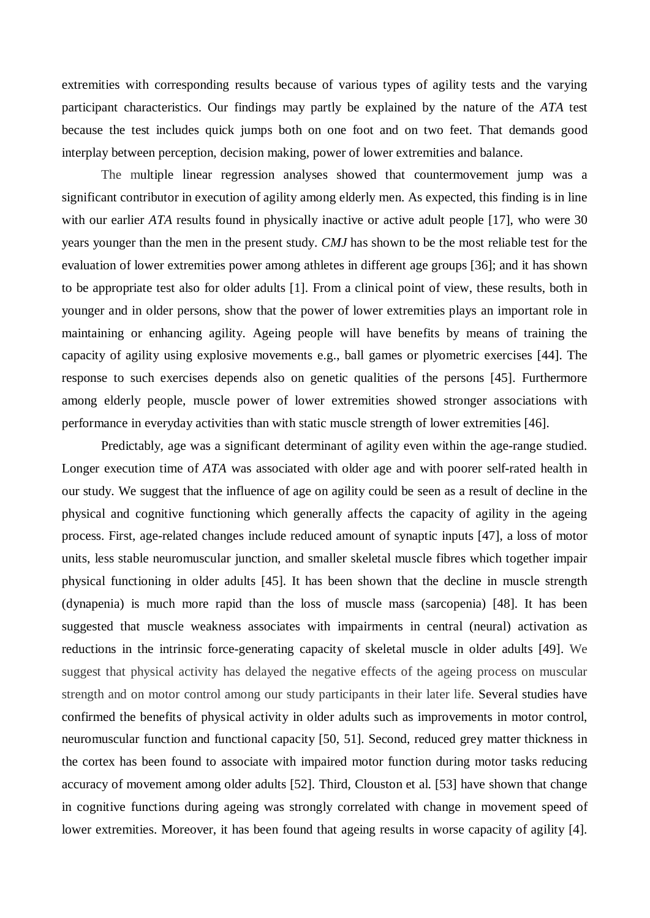extremities with corresponding results because of various types of agility tests and the varying participant characteristics. Our findings may partly be explained by the nature of the *ATA* test because the test includes quick jumps both on one foot and on two feet. That demands good interplay between perception, decision making, power of lower extremities and balance.

The multiple linear regression analyses showed that countermovement jump was a significant contributor in execution of agility among elderly men. As expected, this finding is in line with our earlier *ATA* results found in physically inactive or active adult people [17], who were 30 years younger than the men in the present study. *CMJ* has shown to be the most reliable test for the evaluation of lower extremities power among athletes in different age groups [36]; and it has shown to be appropriate test also for older adults [1]. From a clinical point of view, these results, both in younger and in older persons, show that the power of lower extremities plays an important role in maintaining or enhancing agility. Ageing people will have benefits by means of training the capacity of agility using explosive movements e.g., ball games or plyometric exercises [44]. The response to such exercises depends also on genetic qualities of the persons [45]. Furthermore among elderly people, muscle power of lower extremities showed stronger associations with performance in everyday activities than with static muscle strength of lower extremities [46].

Predictably, age was a significant determinant of agility even within the age-range studied. Longer execution time of *ATA* was associated with older age and with poorer self-rated health in our study. We suggest that the influence of age on agility could be seen as a result of decline in the physical and cognitive functioning which generally affects the capacity of agility in the ageing process. First, age-related changes include reduced amount of synaptic inputs [47], a loss of motor units, less stable neuromuscular junction, and smaller skeletal muscle fibres which together impair physical functioning in older adults [45]. It has been shown that the decline in muscle strength (dynapenia) is much more rapid than the loss of muscle mass (sarcopenia) [48]. It has been suggested that muscle weakness associates with impairments in central (neural) activation as reductions in the intrinsic force-generating capacity of skeletal muscle in older adults [49]. We suggest that physical activity has delayed the negative effects of the ageing process on muscular strength and on motor control among our study participants in their later life. Several studies have confirmed the benefits of physical activity in older adults such as improvements in motor control, neuromuscular function and functional capacity [50, 51]. Second, reduced grey matter thickness in the cortex has been found to associate with impaired motor function during motor tasks reducing accuracy of movement among older adults [52]. Third, Clouston et al. [53] have shown that change in cognitive functions during ageing was strongly correlated with change in movement speed of lower extremities. Moreover, it has been found that ageing results in worse capacity of agility [4].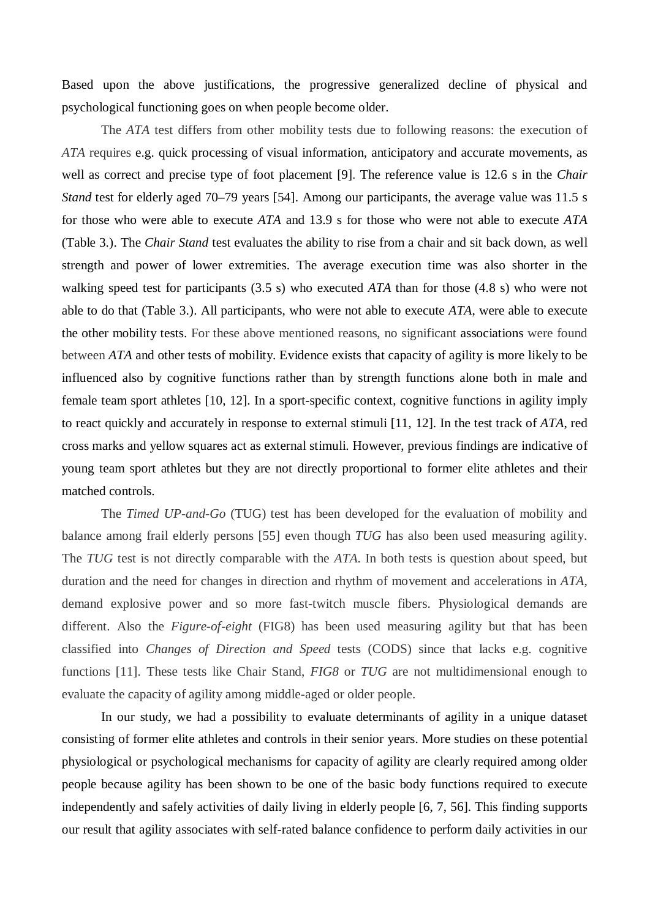Based upon the above justifications, the progressive generalized decline of physical and psychological functioning goes on when people become older.

The *ATA* test differs from other mobility tests due to following reasons: the execution of *ATA* requires e.g. quick processing of visual information, anticipatory and accurate movements, as well as correct and precise type of foot placement [9]. The reference value is 12.6 s in the *Chair Stand* test for elderly aged 70–79 years [54]. Among our participants, the average value was 11.5 s for those who were able to execute *ATA* and 13.9 s for those who were not able to execute *ATA* (Table 3.). The *Chair Stand* test evaluates the ability to rise from a chair and sit back down, as well strength and power of lower extremities. The average execution time was also shorter in the walking speed test for participants (3.5 s) who executed *ATA* than for those (4.8 s) who were not able to do that (Table 3.). All participants, who were not able to execute *ATA*, were able to execute the other mobility tests. For these above mentioned reasons, no significant associations were found between *ATA* and other tests of mobility. Evidence exists that capacity of agility is more likely to be influenced also by cognitive functions rather than by strength functions alone both in male and female team sport athletes [10, 12]. In a sport-specific context, cognitive functions in agility imply to react quickly and accurately in response to external stimuli [11, 12]. In the test track of *ATA*, red cross marks and yellow squares act as external stimuli. However, previous findings are indicative of young team sport athletes but they are not directly proportional to former elite athletes and their matched controls.

The *Timed UP-and-Go* (TUG) test has been developed for the evaluation of mobility and balance among frail elderly persons [55] even though *TUG* has also been used measuring agility. The *TUG* test is not directly comparable with the *ATA*. In both tests is question about speed, but duration and the need for changes in direction and rhythm of movement and accelerations in *ATA*, demand explosive power and so more fast-twitch muscle fibers. Physiological demands are different. Also the *Figure-of-eight* (FIG8) has been used measuring agility but that has been classified into *Changes of Direction and Speed* tests (CODS) since that lacks e.g. cognitive functions [11]. These tests like Chair Stand, *FIG8* or *TUG* are not multidimensional enough to evaluate the capacity of agility among middle-aged or older people.

In our study, we had a possibility to evaluate determinants of agility in a unique dataset consisting of former elite athletes and controls in their senior years. More studies on these potential physiological or psychological mechanisms for capacity of agility are clearly required among older people because agility has been shown to be one of the basic body functions required to execute independently and safely activities of daily living in elderly people [6, 7, 56]. This finding supports our result that agility associates with self-rated balance confidence to perform daily activities in our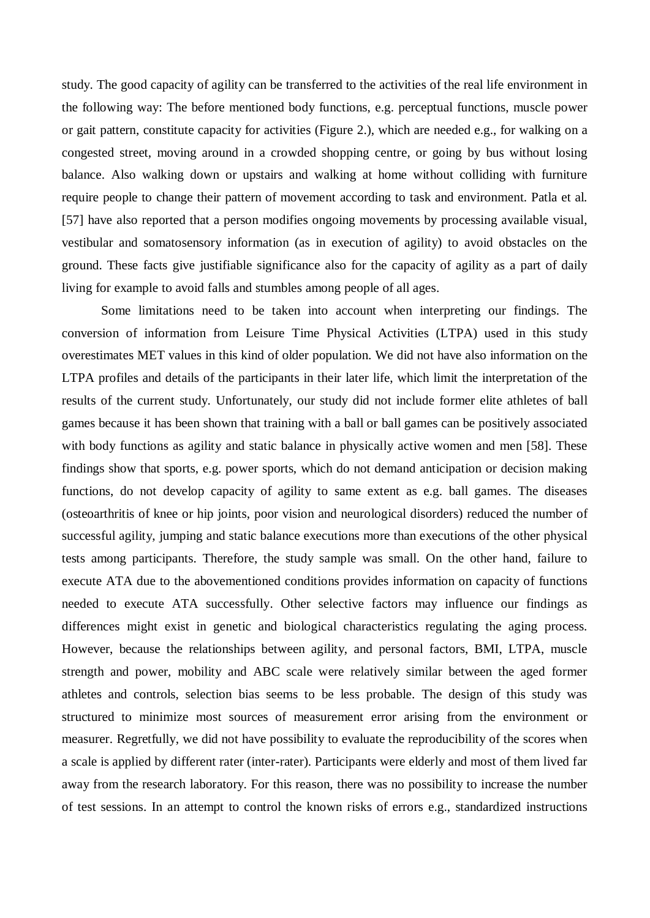study. The good capacity of agility can be transferred to the activities of the real life environment in the following way: The before mentioned body functions, e.g. perceptual functions, muscle power or gait pattern, constitute capacity for activities (Figure 2.), which are needed e.g., for walking on a congested street, moving around in a crowded shopping centre, or going by bus without losing balance. Also walking down or upstairs and walking at home without colliding with furniture require people to change their pattern of movement according to task and environment. Patla et al. [57] have also reported that a person modifies ongoing movements by processing available visual, vestibular and somatosensory information (as in execution of agility) to avoid obstacles on the ground. These facts give justifiable significance also for the capacity of agility as a part of daily living for example to avoid falls and stumbles among people of all ages.

Some limitations need to be taken into account when interpreting our findings. The conversion of information from Leisure Time Physical Activities (LTPA) used in this study overestimates MET values in this kind of older population. We did not have also information on the LTPA profiles and details of the participants in their later life, which limit the interpretation of the results of the current study. Unfortunately, our study did not include former elite athletes of ball games because it has been shown that training with a ball or ball games can be positively associated with body functions as agility and static balance in physically active women and men [58]. These findings show that sports, e.g. power sports, which do not demand anticipation or decision making functions, do not develop capacity of agility to same extent as e.g. ball games. The diseases (osteoarthritis of knee or hip joints, poor vision and neurological disorders) reduced the number of successful agility, jumping and static balance executions more than executions of the other physical tests among participants. Therefore, the study sample was small. On the other hand, failure to execute ATA due to the abovementioned conditions provides information on capacity of functions needed to execute ATA successfully. Other selective factors may influence our findings as differences might exist in genetic and biological characteristics regulating the aging process. However, because the relationships between agility, and personal factors, BMI, LTPA, muscle strength and power, mobility and ABC scale were relatively similar between the aged former athletes and controls, selection bias seems to be less probable. The design of this study was structured to minimize most sources of measurement error arising from the environment or measurer. Regretfully, we did not have possibility to evaluate the reproducibility of the scores when a scale is applied by different rater (inter-rater). Participants were elderly and most of them lived far away from the research laboratory. For this reason, there was no possibility to increase the number of test sessions. In an attempt to control the known risks of errors e.g., standardized instructions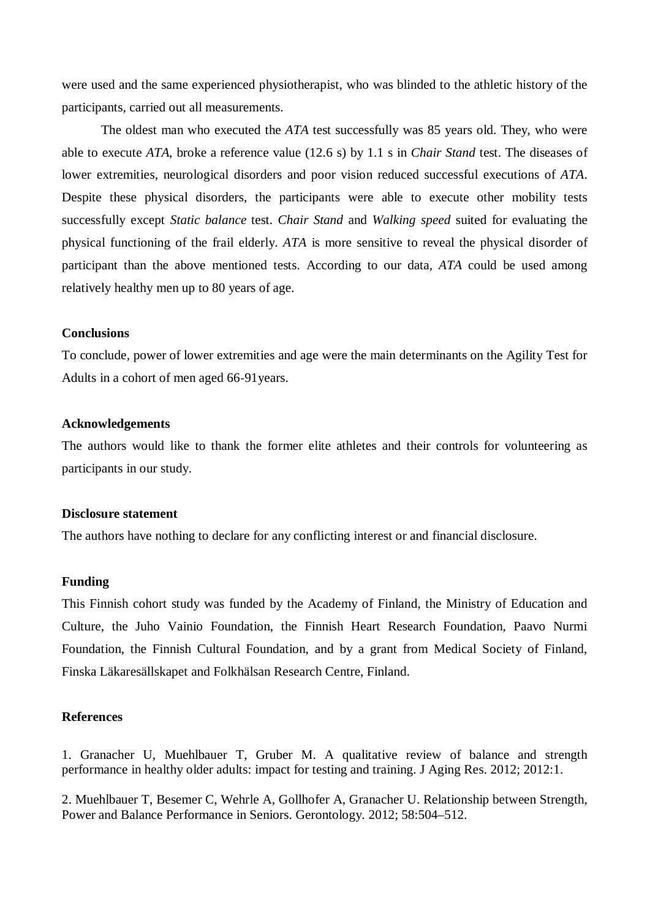were used and the same experienced physiotherapist, who was blinded to the athletic history of the participants, carried out all measurements.

The oldest man who executed the *ATA* test successfully was 85 years old. They, who were able to execute *ATA*, broke a reference value (12.6 s) by 1.1 s in *Chair Stand* test. The diseases of lower extremities, neurological disorders and poor vision reduced successful executions of *ATA*. Despite these physical disorders, the participants were able to execute other mobility tests successfully except *Static balance* test. *Chair Stand* and *Walking speed* suited for evaluating the physical functioning of the frail elderly. *ATA* is more sensitive to reveal the physical disorder of participant than the above mentioned tests. According to our data, *ATA* could be used among relatively healthy men up to 80 years of age.

# **Conclusions**

To conclude, power of lower extremities and age were the main determinants on the Agility Test for Adults in a cohort of men aged 66*-*91years.

## **Acknowledgements**

The authors would like to thank the former elite athletes and their controls for volunteering as participants in our study.

#### **Disclosure statement**

The authors have nothing to declare for any conflicting interest or and financial disclosure.

### **Funding**

This Finnish cohort study was funded by the Academy of Finland, the Ministry of Education and Culture, the Juho Vainio Foundation, the Finnish Heart Research Foundation, Paavo Nurmi Foundation, the Finnish Cultural Foundation, and by a grant from Medical Society of Finland, Finska Läkaresällskapet and Folkhälsan Research Centre, Finland.

### **References**

1. Granacher U, Muehlbauer T, Gruber M. A qualitative review of balance and strength performance in healthy older adults: impact for testing and training. J Aging Res. 2012; 2012:1.

2. Muehlbauer T, Besemer C, Wehrle A, Gollhofer A, Granacher U. Relationship between Strength, Power and Balance Performance in Seniors. Gerontology. 2012; 58:504–512.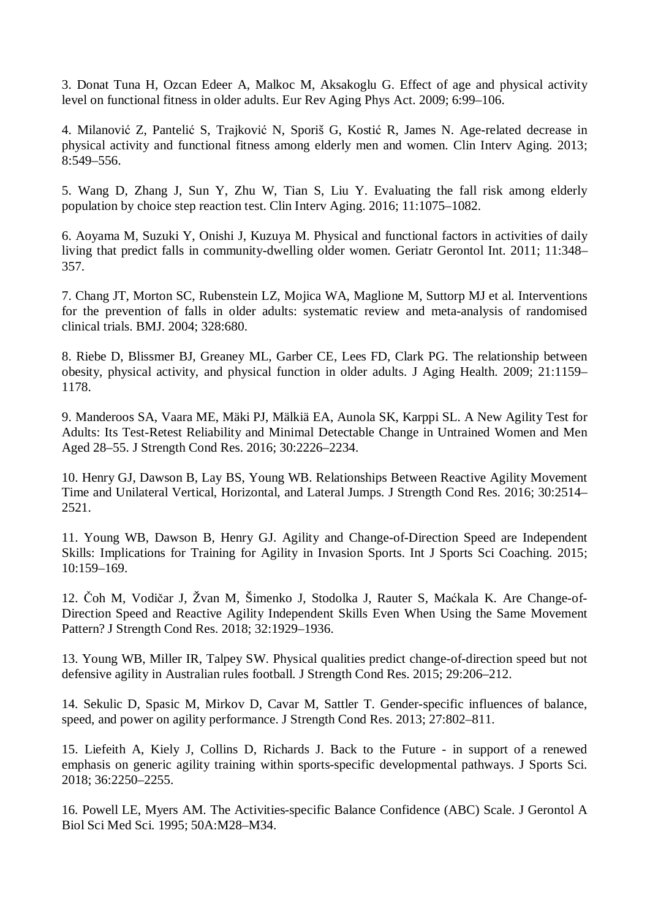3. Donat Tuna H, Ozcan Edeer A, Malkoc M, Aksakoglu G. Effect of age and physical activity level on functional fitness in older adults. Eur Rev Aging Phys Act. 2009; 6:99–106.

4. Milanović Z, Pantelić S, Trajković N, Sporiš G, Kostić R, James N. Age-related decrease in physical activity and functional fitness among elderly men and women. Clin Interv Aging. 2013; 8:549–556.

5. Wang D, Zhang J, Sun Y, Zhu W, Tian S, Liu Y. Evaluating the fall risk among elderly population by choice step reaction test. Clin Interv Aging. 2016; 11:1075–1082.

6. Aoyama M, Suzuki Y, Onishi J, Kuzuya M. Physical and functional factors in activities of daily living that predict falls in community-dwelling older women. Geriatr Gerontol Int. 2011; 11:348– 357.

7. Chang JT, Morton SC, Rubenstein LZ, Mojica WA, Maglione M, Suttorp MJ et al. Interventions for the prevention of falls in older adults: systematic review and meta-analysis of randomised clinical trials. BMJ. 2004; 328:680.

8. Riebe D, Blissmer BJ, Greaney ML, Garber CE, Lees FD, Clark PG. The relationship between obesity, physical activity, and physical function in older adults. J Aging Health. 2009; 21:1159– 1178.

9. Manderoos SA, Vaara ME, Mäki PJ, Mälkiä EA, Aunola SK, Karppi SL. A New Agility Test for Adults: Its Test-Retest Reliability and Minimal Detectable Change in Untrained Women and Men Aged 28–55. J Strength Cond Res. 2016; 30:2226–2234.

10. Henry GJ, Dawson B, Lay BS, Young WB. Relationships Between Reactive Agility Movement Time and Unilateral Vertical, Horizontal, and Lateral Jumps. J Strength Cond Res. 2016; 30:2514– 2521.

11. Young WB, Dawson B, Henry GJ. Agility and Change-of-Direction Speed are Independent Skills: Implications for Training for Agility in Invasion Sports. Int J Sports Sci Coaching. 2015; 10:159–169.

12. Čoh M, Vodičar J, Žvan M, Šimenko J, Stodolka J, Rauter S, Maćkala K. Are Change-of-Direction Speed and Reactive Agility Independent Skills Even When Using the Same Movement Pattern? J Strength Cond Res. 2018; 32:1929–1936.

13. Young WB, Miller IR, Talpey SW. Physical qualities predict change-of-direction speed but not defensive agility in Australian rules football. J Strength Cond Res. 2015; 29:206–212.

14. Sekulic D, Spasic M, Mirkov D, Cavar M, Sattler T. Gender-specific influences of balance, speed, and power on agility performance. J Strength Cond Res. 2013; 27:802–811.

15. Liefeith A, Kiely J, Collins D, Richards J. Back to the Future - in support of a renewed emphasis on generic agility training within sports-specific developmental pathways. J Sports Sci. 2018; 36:2250–2255.

16. Powell LE, Myers AM. The Activities-specific Balance Confidence (ABC) Scale. J Gerontol A Biol Sci Med Sci. 1995; 50A:M28–M34.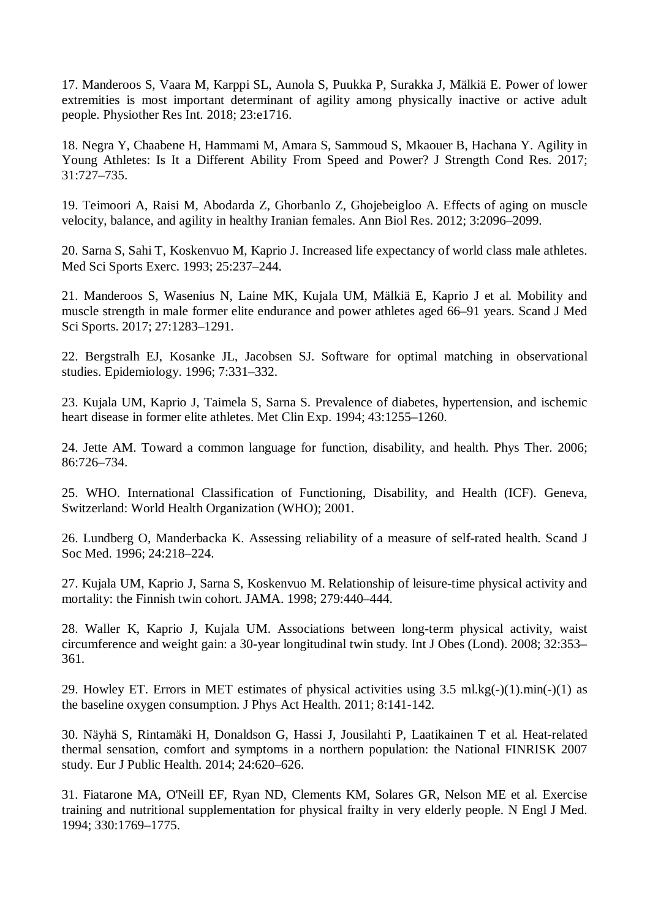17. Manderoos S, Vaara M, Karppi SL, Aunola S, Puukka P, Surakka J, Mälkiä E. Power of lower extremities is most important determinant of agility among physically inactive or active adult people. Physiother Res Int. 2018; 23:e1716.

18. Negra Y, Chaabene H, Hammami M, Amara S, Sammoud S, Mkaouer B, Hachana Y. Agility in Young Athletes: Is It a Different Ability From Speed and Power? J Strength Cond Res. 2017; 31:727–735.

19. Teimoori A, Raisi M, Abodarda Z, Ghorbanlo Z, Ghojebeigloo A. Effects of aging on muscle velocity, balance, and agility in healthy Iranian females. Ann Biol Res. 2012; 3:2096–2099.

20. Sarna S, Sahi T, Koskenvuo M, Kaprio J. Increased life expectancy of world class male athletes. Med Sci Sports Exerc. 1993; 25:237–244.

21. Manderoos S, Wasenius N, Laine MK, Kujala UM, Mälkiä E, Kaprio J et al. Mobility and muscle strength in male former elite endurance and power athletes aged 66–91 years. Scand J Med Sci Sports. 2017; 27:1283–1291.

22. Bergstralh EJ, Kosanke JL, Jacobsen SJ. Software for optimal matching in observational studies. Epidemiology. 1996; 7:331–332.

23. Kujala UM, Kaprio J, Taimela S, Sarna S. Prevalence of diabetes, hypertension, and ischemic heart disease in former elite athletes. Met Clin Exp. 1994; 43:1255–1260.

24. Jette AM. Toward a common language for function, disability, and health. Phys Ther. 2006; 86:726–734.

25. WHO. International Classification of Functioning, Disability, and Health (ICF). Geneva, Switzerland: World Health Organization (WHO); 2001.

26. Lundberg O, Manderbacka K. Assessing reliability of a measure of self-rated health. Scand J Soc Med. 1996; 24:218–224.

27. Kujala UM, Kaprio J, Sarna S, Koskenvuo M. Relationship of leisure-time physical activity and mortality: the Finnish twin cohort. JAMA. 1998; 279:440–444.

28. Waller K, Kaprio J, Kujala UM. Associations between long-term physical activity, waist circumference and weight gain: a 30-year longitudinal twin study. Int J Obes (Lond). 2008; 32:353– 361.

29. Howley ET. Errors in MET estimates of physical activities using 3.5 ml.kg(-)(1).min(-)(1) as the baseline oxygen consumption. J Phys Act Health. 2011; 8:141-142.

30. Näyhä S, Rintamäki H, Donaldson G, Hassi J, Jousilahti P, Laatikainen T et al. Heat-related thermal sensation, comfort and symptoms in a northern population: the National FINRISK 2007 study. Eur J Public Health. 2014; 24:620–626.

31. Fiatarone MA, O'Neill EF, Ryan ND, Clements KM, Solares GR, Nelson ME et al. Exercise training and nutritional supplementation for physical frailty in very elderly people. N Engl J Med. 1994; 330:1769–1775.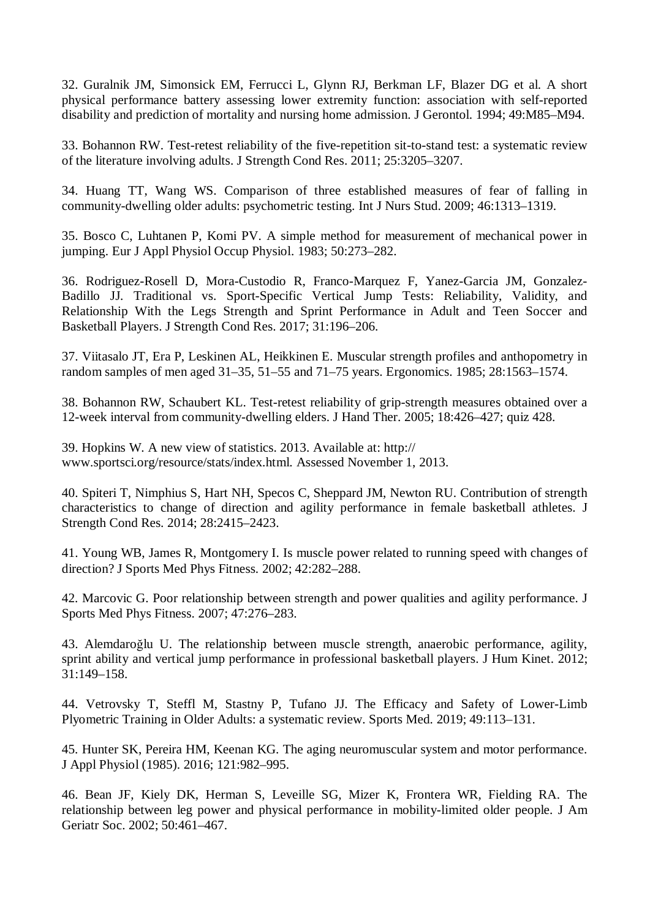32. Guralnik JM, Simonsick EM, Ferrucci L, Glynn RJ, Berkman LF, Blazer DG et al. A short physical performance battery assessing lower extremity function: association with self-reported disability and prediction of mortality and nursing home admission. J Gerontol. 1994; 49:M85–M94.

33. Bohannon RW. Test-retest reliability of the five-repetition sit-to-stand test: a systematic review of the literature involving adults. J Strength Cond Res. 2011; 25:3205–3207.

34. Huang TT, Wang WS. Comparison of three established measures of fear of falling in community-dwelling older adults: psychometric testing. Int J Nurs Stud. 2009; 46:1313–1319.

35. Bosco C, Luhtanen P, Komi PV. A simple method for measurement of mechanical power in jumping. Eur J Appl Physiol Occup Physiol. 1983; 50:273–282.

36. Rodriguez-Rosell D, Mora-Custodio R, Franco-Marquez F, Yanez-Garcia JM, Gonzalez-Badillo JJ. Traditional vs. Sport-Specific Vertical Jump Tests: Reliability, Validity, and Relationship With the Legs Strength and Sprint Performance in Adult and Teen Soccer and Basketball Players. J Strength Cond Res. 2017; 31:196–206.

37. Viitasalo JT, Era P, Leskinen AL, Heikkinen E. Muscular strength profiles and anthopometry in random samples of men aged 31–35, 51–55 and 71–75 years. Ergonomics. 1985; 28:1563–1574.

38. Bohannon RW, Schaubert KL. Test-retest reliability of grip-strength measures obtained over a 12-week interval from community-dwelling elders. J Hand Ther. 2005; 18:426–427; quiz 428.

39. Hopkins W. A new view of statistics. 2013. Available at: http:// www.sportsci.org/resource/stats/index.html. Assessed November 1, 2013.

40. Spiteri T, Nimphius S, Hart NH, Specos C, Sheppard JM, Newton RU. Contribution of strength characteristics to change of direction and agility performance in female basketball athletes. J Strength Cond Res. 2014; 28:2415–2423.

41. Young WB, James R, Montgomery I. Is muscle power related to running speed with changes of direction? J Sports Med Phys Fitness. 2002; 42:282–288.

42. Marcovic G. Poor relationship between strength and power qualities and agility performance. J Sports Med Phys Fitness. 2007; 47:276–283.

43. Alemdaroğlu U. The relationship between muscle strength, anaerobic performance, agility, sprint ability and vertical jump performance in professional basketball players. J Hum Kinet. 2012; 31:149–158.

44. Vetrovsky T, Steffl M, Stastny P, Tufano JJ. The Efficacy and Safety of Lower-Limb Plyometric Training in Older Adults: a systematic review. Sports Med. 2019; 49:113–131.

45. Hunter SK, Pereira HM, Keenan KG. The aging neuromuscular system and motor performance. J Appl Physiol (1985). 2016; 121:982–995.

46. Bean JF, Kiely DK, Herman S, Leveille SG, Mizer K, Frontera WR, Fielding RA. The relationship between leg power and physical performance in mobility-limited older people. J Am Geriatr Soc. 2002; 50:461–467.